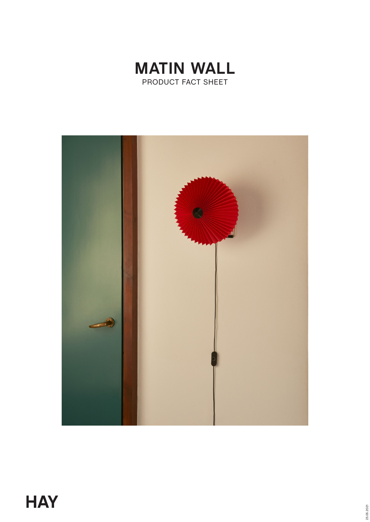

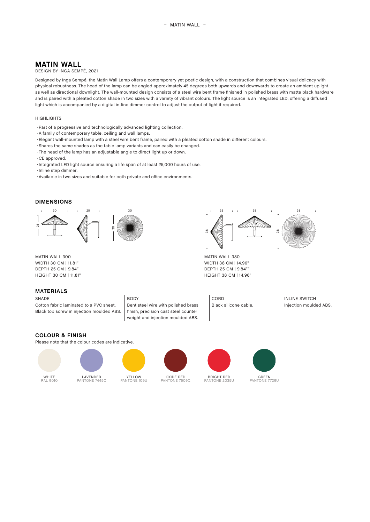# **MATIN WALL**

#### DESIGN BY INGA SEMPÉ, 2021

Designed by Inga Sempé, the Matin Wall Lamp offers a contemporary yet poetic design, with a construction that combines visual delicacy with physical robustness. The head of the lamp can be angled approximately 45 degrees both upwards and downwards to create an ambient uplight as well as directional downlight. The wall-mounted design consists of a steel wire bent frame finished in polished brass with matte black hardware and is paired with a pleated cotton shade in two sizes with a variety of vibrant colours. The light source is an integrated LED, offering a diffused light which is accompanied by a digital in-line dimmer control to adjust the output of light if required.

#### HIGHLIGHTS

- · Part of a progressive and technologically advanced lighting collection.
- A family of contemporary table, ceiling and wall lamps.
- · Elegant wall-mounted lamp with a steel wire bent frame, paired with a pleated cotton shade in different colours.
- · Shares the same shades as the table lamp variants and can easily be changed.
- · The head of the lamp has an adjustable angle to direct light up or down.
- · CE approved.
- · Integrated LED light source ensuring a life span of at least 25,000 hours of use.
- **Inline step dimmer.**
- · Available in two sizes and suitable for both private and office environments.

#### **DIMENSIONS**



MATIN WALL 300 WIDTH 30 CM | 11.81" DEPTH 25 CM | 9.84" HEIGHT 30 CM | 11.81"

## **MATERIALS**

SHADE BODY BODY CORD INLINE SWITCH Cotton fabric laminated to a PVC sheet. Black top screw in injection moulded ABS.

Bent steel wire with polished brass finish, precision cast steel counter weight and injection moulded ABS.



MATIN WALL 380 WIDTH 38 CM | 14.96" DEPTH 25 CM | 9.84"" HEIGHT 38 CM | 14.96"

Black silicone cable. **Injection moulded ABS.** 

## **COLOUR & FINISH**

Please note that the colour codes are indicative.







.<br>109U

OXIDE RED PANTONE 7609C



**BRIGHT RED**<br>PANTONE 2035U PANTONE 2035U